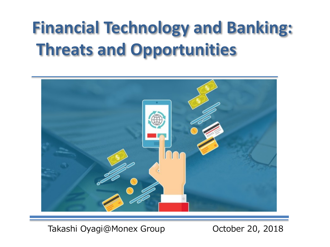# **Financial Technology and Banking: Threats and Opportunities**



Takashi Oyagi@Monex Group **Canada Contract 20, 2018**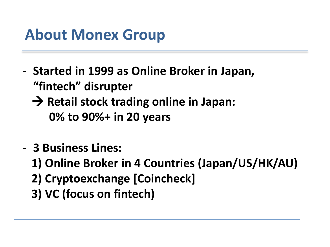# **About Monex Group**

- **Started in 1999 as Online Broker in Japan, "fintech" disrupter**
	- **→ Retail stock trading online in Japan: 0% to 90%+ in 20 years**
- **3 Business Lines:**
	- **1) Online Broker in 4 Countries (Japan/US/HK/AU)**
	- **2) Cryptoexchange [Coincheck]**
	- **3) VC (focus on fintech)**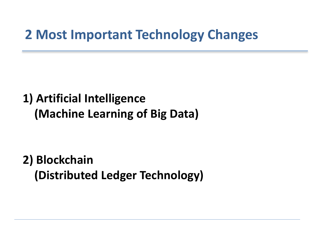### **2 Most Important Technology Changes**

## **1) Artificial Intelligence (Machine Learning of Big Data)**

**2) Blockchain (Distributed Ledger Technology)**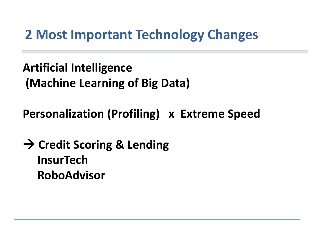## **2 Most Important Technology Changes**

**Artificial Intelligence (Machine Learning of Big Data)**

**Personalization (Profiling) x Extreme Speed**

**→ Credit Scoring & Lending InsurTech RoboAdvisor**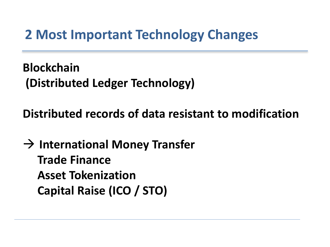## **2 Most Important Technology Changes**

**Blockchain (Distributed Ledger Technology)**

**Distributed records of data resistant to modification**

 **International Money Transfer Trade Finance Asset Tokenization Capital Raise (ICO / STO)**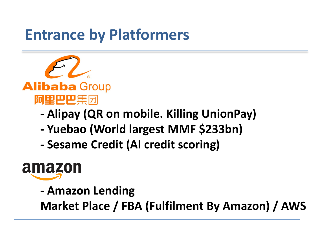# **Entrance by Platformers**



#### **Alibaba Group** 阿里巴巴集团

- **- Alipay (QR on mobile. Killing UnionPay)**
- **- Yuebao (World largest MMF \$233bn)**
- **- Sesame Credit (AI credit scoring)**

# amazon

**- Amazon Lending**

**Market Place / FBA (Fulfilment By Amazon) / AWS**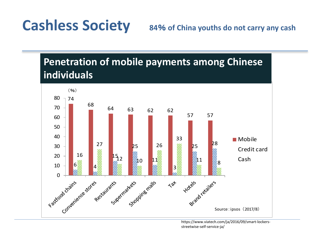**Cashless Society**

% **of China youths do not carry any cash**

#### **Penetration of mobile payments among Chinese individuals**



https://www.viatech.com/ja/2016/09/smart-lockersstreetwise-self-service-ja/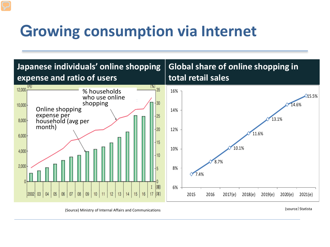# G**rowing consumption via Internet**



(Source) Ministry of Internal Affairs and Communications (Source) Statista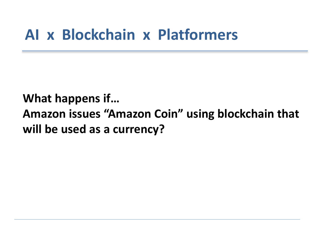## **AI x Blockchain x Platformers**

**What happens if… Amazon issues "Amazon Coin" using blockchain that will be used as a currency?**